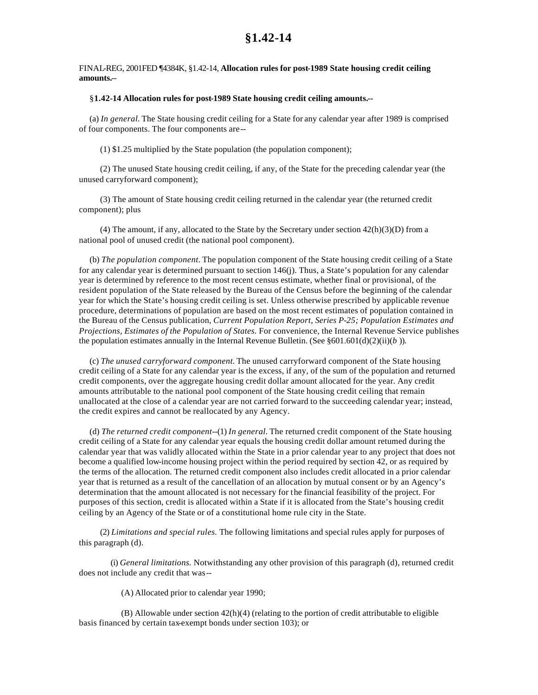## FINAL-REG, 2001FED ¶4384K, §1.42-14, **Allocation rules for post-1989 State housing credit ceiling amounts.**--

## §**1.42-14 Allocation rules for post-1989 State housing credit ceiling amounts.--**

(a) *In general.* The State housing credit ceiling for a State for any calendar year after 1989 is comprised of four components. The four components are--

(1) \$1.25 multiplied by the State population (the population component);

(2) The unused State housing credit ceiling, if any, of the State for the preceding calendar year (the unused carryforward component);

(3) The amount of State housing credit ceiling returned in the calendar year (the returned credit component); plus

(4) The amount, if any, allocated to the State by the Secretary under section  $42(h)(3)(D)$  from a national pool of unused credit (the national pool component).

(b) *The population component.* The population component of the State housing credit ceiling of a State for any calendar year is determined pursuant to section 146(j). Thus, a State's population for any calendar year is determined by reference to the most recent census estimate, whether final or provisional, of the resident population of the State released by the Bureau of the Census before the beginning of the calendar year for which the State's housing credit ceiling is set. Unless otherwise prescribed by applicable revenue procedure, determinations of population are based on the most recent estimates of population contained in the Bureau of the Census publication, *Current Population Report, Series P-25; Population Estimates and Projections, Estimates of the Population of States.* For convenience, the Internal Revenue Service publishes the population estimates annually in the Internal Revenue Bulletin. (See  $\S 601.601(d)(2)(ii)(b)$ ).

(c) *The unused carryforward component.* The unused carryforward component of the State housing credit ceiling of a State for any calendar year is the excess, if any, of the sum of the population and returned credit components, over the aggregate housing credit dollar amount allocated for the year. Any credit amounts attributable to the national pool component of the State housing credit ceiling that remain unallocated at the close of a calendar year are not carried forward to the succeeding calendar year; instead, the credit expires and cannot be reallocated by any Agency.

(d) *The returned credit component*--(1) *In general.* The returned credit component of the State housing credit ceiling of a State for any calendar year equals the housing credit dollar amount returned during the calendar year that was validly allocated within the State in a prior calendar year to any project that does not become a qualified low-income housing project within the period required by section 42, or as required by the terms of the allocation. The returned credit component also includes credit allocated in a prior calendar year that is returned as a result of the cancellation of an allocation by mutual consent or by an Agency's determination that the amount allocated is not necessary for the financial feasibility of the project. For purposes of this section, credit is allocated within a State if it is allocated from the State's housing credit ceiling by an Agency of the State or of a constitutional home rule city in the State.

(2) *Limitations and special rules.* The following limitations and special rules apply for purposes of this paragraph (d).

(i) *General limitations.* Notwithstanding any other provision of this paragraph (d), returned credit does not include any credit that was--

(A) Allocated prior to calendar year 1990;

(B) Allowable under section  $42(h)(4)$  (relating to the portion of credit attributable to eligible basis financed by certain tax-exempt bonds under section 103); or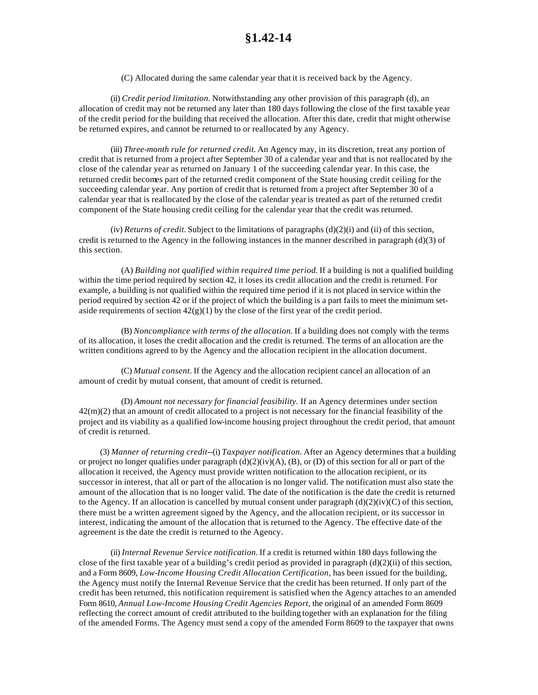(C) Allocated during the same calendar year that it is received back by the Agency.

(ii) *Credit period limitation.* Notwithstanding any other provision of this paragraph (d), an allocation of credit may not be returned any later than 180 days following the close of the first taxable year of the credit period for the building that received the allocation. After this date, credit that might otherwise be returned expires, and cannot be returned to or reallocated by any Agency.

(iii) *Three-month rule for returned credit.* An Agency may, in its discretion, treat any portion of credit that is returned from a project after September 30 of a calendar year and that is not reallocated by the close of the calendar year as returned on January 1 of the succeeding calendar year. In this case, the returned credit becomes part of the returned credit component of the State housing credit ceiling for the succeeding calendar year. Any portion of credit that is returned from a project after September 30 of a calendar year that is reallocated by the close of the calendar year is treated as part of the returned credit component of the State housing credit ceiling for the calendar year that the credit was returned.

(iv) *Returns of credit.* Subject to the limitations of paragraphs  $(d)(2)(i)$  and (ii) of this section, credit is returned to the Agency in the following instances in the manner described in paragraph  $(d)(3)$  of this section.

(A) *Building not qualified within required time period.* If a building is not a qualified building within the time period required by section 42, it loses its credit allocation and the credit is returned. For example, a building is not qualified within the required time period if it is not placed in service within the period required by section 42 or if the project of which the building is a part fails to meet the minimum setaside requirements of section  $42(g)(1)$  by the close of the first year of the credit period.

(B) *Noncompliance with terms of the allocation.* If a building does not comply with the terms of its allocation, it loses the credit allocation and the credit is returned. The terms of an allocation are the written conditions agreed to by the Agency and the allocation recipient in the allocation document.

(C) *Mutual consent.* If the Agency and the allocation recipient cancel an allocation of an amount of credit by mutual consent, that amount of credit is returned.

(D) *Amount not necessary for financial feasibility.* If an Agency determines under section  $42(m)(2)$  that an amount of credit allocated to a project is not necessary for the financial feasibility of the project and its viability as a qualified low-income housing project throughout the credit period, that amount of credit is returned.

(3) *Manner of returning credit*--(i) *Taxpayer notification.* After an Agency determines that a building or project no longer qualifies under paragraph  $(d)(2)(iv)(A)$ ,  $(B)$ , or  $(D)$  of this section for all or part of the allocation it received, the Agency must provide written notification to the allocation recipient, or its successor in interest, that all or part of the allocation is no longer valid. The notification must also state the amount of the allocation that is no longer valid. The date of the notification is the date the credit is returned to the Agency. If an allocation is cancelled by mutual consent under paragraph  $(d)(2)(iv)(C)$  of this section, there must be a written agreement signed by the Agency, and the allocation recipient, or its successor in interest, indicating the amount of the allocation that is returned to the Agency. The effective date of the agreement is the date the credit is returned to the Agency.

(ii) *Internal Revenue Service notification.* If a credit is returned within 180 days following the close of the first taxable year of a building's credit period as provided in paragraph  $(d)(2)(ii)$  of this section, and a Form 8609, *Low-Income Housing Credit Allocation Certification*, has been issued for the building, the Agency must notify the Internal Revenue Service that the credit has been returned. If only part of the credit has been returned, this notification requirement is satisfied when the Agency attaches to an amended Form 8610, *Annual Low-Income Housing Credit Agencies Report*, the original of an amended Form 8609 reflecting the correct amount of credit attributed to the building together with an explanation for the filing of the amended Forms. The Agency must send a copy of the amended Form 8609 to the taxpayer that owns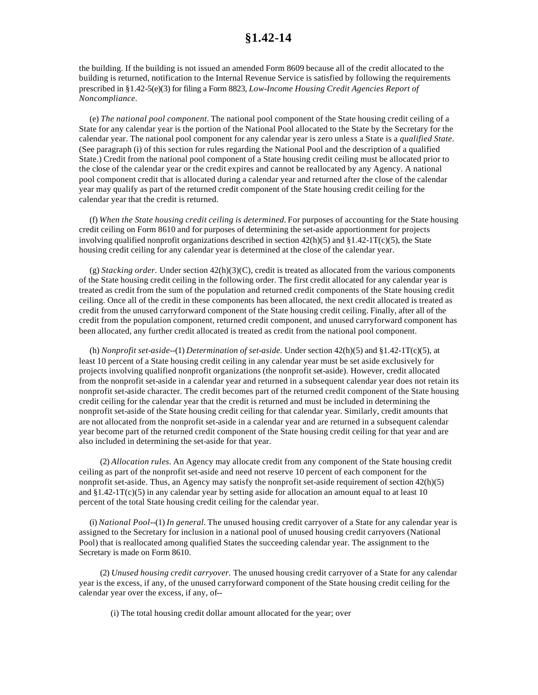the building. If the building is not issued an amended Form 8609 because all of the credit allocated to the building is returned, notification to the Internal Revenue Service is satisfied by following the requirements prescribed in §1.42-5(e)(3) for filing a Form 8823, *Low-Income Housing Credit Agencies Report of Noncompliance.*

(e) *The national pool component.* The national pool component of the State housing credit ceiling of a State for any calendar year is the portion of the National Pool allocated to the State by the Secretary for the calendar year. The national pool component for any calendar year is zero unless a State is a *qualified State.* (See paragraph (i) of this section for rules regarding the National Pool and the description of a qualified State.) Credit from the national pool component of a State housing credit ceiling must be allocated prior to the close of the calendar year or the credit expires and cannot be reallocated by any Agency. A national pool component credit that is allocated during a calendar year and returned after the close of the calendar year may qualify as part of the returned credit component of the State housing credit ceiling for the calendar year that the credit is returned.

(f) *When the State housing credit ceiling is determined.* For purposes of accounting for the State housing credit ceiling on Form 8610 and for purposes of determining the set-aside apportionment for projects involving qualified nonprofit organizations described in section  $42(h)(5)$  and  $\S 1.42-1T(c)(5)$ , the State housing credit ceiling for any calendar year is determined at the close of the calendar year.

(g) *Stacking order.* Under section 42(h)(3)(C), credit is treated as allocated from the various components of the State housing credit ceiling in the following order. The first credit allocated for any calendar year is treated as credit from the sum of the population and returned credit components of the State housing credit ceiling. Once all of the credit in these components has been allocated, the next credit allocated is treated as credit from the unused carryforward component of the State housing credit ceiling. Finally, after all of the credit from the population component, returned credit component, and unused carryforward component has been allocated, any further credit allocated is treated as credit from the national pool component.

(h) *Nonprofit set-aside*--(1) *Determination of set-aside.* Under section 42(h)(5) and §1.42-1T(c)(5), at least 10 percent of a State housing credit ceiling in any calendar year must be set aside exclusively for projects involving qualified nonprofit organizations (the nonprofit set-aside). However, credit allocated from the nonprofit set-aside in a calendar year and returned in a subsequent calendar year does not retain its nonprofit set-aside character. The credit becomes part of the returned credit component of the State housing credit ceiling for the calendar year that the credit is returned and must be included in determining the nonprofit set-aside of the State housing credit ceiling for that calendar year. Similarly, credit amounts that are not allocated from the nonprofit set-aside in a calendar year and are returned in a subsequent calendar year become part of the returned credit component of the State housing credit ceiling for that year and are also included in determining the set-aside for that year.

(2) *Allocation rules.* An Agency may allocate credit from any component of the State housing credit ceiling as part of the nonprofit set-aside and need not reserve 10 percent of each component for the nonprofit set-aside. Thus, an Agency may satisfy the nonprofit set-aside requirement of section 42(h)(5) and  $\S1.42-1T(c)(5)$  in any calendar year by setting aside for allocation an amount equal to at least 10 percent of the total State housing credit ceiling for the calendar year.

(i) *National Pool*--(1) *In general.* The unused housing credit carryover of a State for any calendar year is assigned to the Secretary for inclusion in a national pool of unused housing credit carryovers (National Pool) that is reallocated among qualified States the succeeding calendar year. The assignment to the Secretary is made on Form 8610.

(2) *Unused housing credit carryover.* The unused housing credit carryover of a State for any calendar year is the excess, if any, of the unused carryforward component of the State housing credit ceiling for the calendar year over the excess, if any, of--

(i) The total housing credit dollar amount allocated for the year; over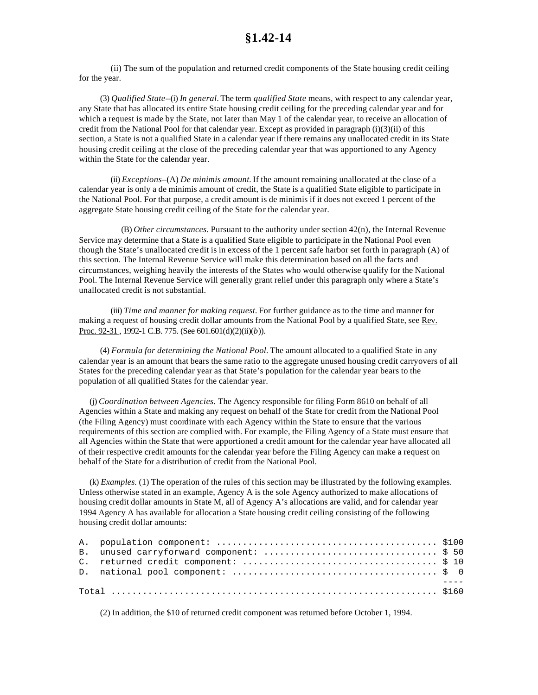(ii) The sum of the population and returned credit components of the State housing credit ceiling for the year.

(3) *Qualified State*--(i) *In general.* The term *qualified State* means, with respect to any calendar year, any State that has allocated its entire State housing credit ceiling for the preceding calendar year and for which a request is made by the State, not later than May 1 of the calendar year, to receive an allocation of credit from the National Pool for that calendar year. Except as provided in paragraph (i)(3)(ii) of this section, a State is not a qualified State in a calendar year if there remains any unallocated credit in its State housing credit ceiling at the close of the preceding calendar year that was apportioned to any Agency within the State for the calendar year.

(ii) *Exceptions*--(A) *De minimis amount.* If the amount remaining unallocated at the close of a calendar year is only a de minimis amount of credit, the State is a qualified State eligible to participate in the National Pool. For that purpose, a credit amount is de minimis if it does not exceed 1 percent of the aggregate State housing credit ceiling of the State for the calendar year.

(B) *Other circumstances.* Pursuant to the authority under section 42(n), the Internal Revenue Service may determine that a State is a qualified State eligible to participate in the National Pool even though the State's unallocated credit is in excess of the 1 percent safe harbor set forth in paragraph (A) of this section. The Internal Revenue Service will make this determination based on all the facts and circumstances, weighing heavily the interests of the States who would otherwise qualify for the National Pool. The Internal Revenue Service will generally grant relief under this paragraph only where a State's unallocated credit is not substantial.

(iii) *Time and manner for making request.* For further guidance as to the time and manner for making a request of housing credit dollar amounts from the National Pool by a qualified State, see Rev. Proc. 92-31 , 1992-1 C.B. 775. (See 601.601(d)(2)(ii)(*b*)).

(4) *Formula for determining the National Pool.* The amount allocated to a qualified State in any calendar year is an amount that bears the same ratio to the aggregate unused housing credit carryovers of all States for the preceding calendar year as that State's population for the calendar year bears to the population of all qualified States for the calendar year.

(j) *Coordination between Agencies.* The Agency responsible for filing Form 8610 on behalf of all Agencies within a State and making any request on behalf of the State for credit from the National Pool (the Filing Agency) must coordinate with each Agency within the State to ensure that the various requirements of this section are complied with. For example, the Filing Agency of a State must ensure that all Agencies within the State that were apportioned a credit amount for the calendar year have allocated all of their respective credit amounts for the calendar year before the Filing Agency can make a request on behalf of the State for a distribution of credit from the National Pool.

(k) *Examples.* (1) The operation of the rules of this section may be illustrated by the following examples. Unless otherwise stated in an example, Agency A is the sole Agency authorized to make allocations of housing credit dollar amounts in State M, all of Agency A's allocations are valid, and for calendar year 1994 Agency A has available for allocation a State housing credit ceiling consisting of the following housing credit dollar amounts:

(2) In addition, the \$10 of returned credit component was returned before October 1, 1994.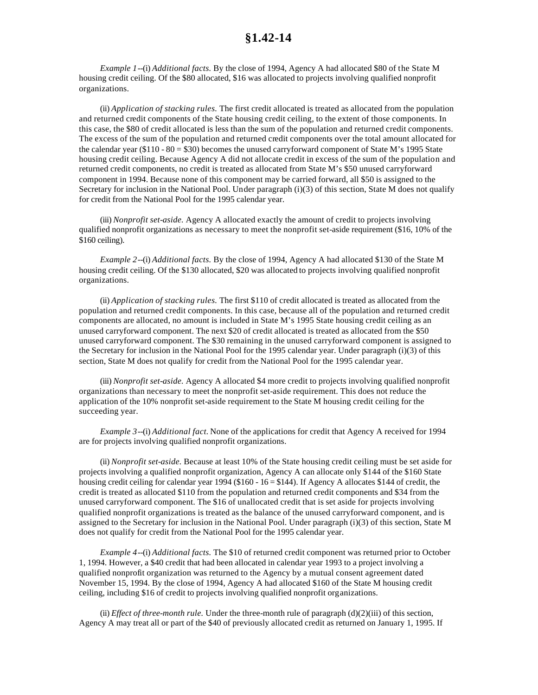*Example 1*--(i) *Additional facts.* By the close of 1994, Agency A had allocated \$80 of the State M housing credit ceiling. Of the \$80 allocated, \$16 was allocated to projects involving qualified nonprofit organizations.

(ii) *Application of stacking rules.* The first credit allocated is treated as allocated from the population and returned credit components of the State housing credit ceiling, to the extent of those components. In this case, the \$80 of credit allocated is less than the sum of the population and returned credit components. The excess of the sum of the population and returned credit components over the total amount allocated for the calendar year (\$110 - 80 = \$30) becomes the unused carryforward component of State M's 1995 State housing credit ceiling. Because Agency A did not allocate credit in excess of the sum of the population and returned credit components, no credit is treated as allocated from State M's \$50 unused carryforward component in 1994. Because none of this component may be carried forward, all \$50 is assigned to the Secretary for inclusion in the National Pool. Under paragraph (i)(3) of this section, State M does not qualify for credit from the National Pool for the 1995 calendar year.

(iii) *Nonprofit set-aside.* Agency A allocated exactly the amount of credit to projects involving qualified nonprofit organizations as necessary to meet the nonprofit set-aside requirement (\$16, 10% of the \$160 ceiling).

*Example 2*--(i) *Additional facts.* By the close of 1994, Agency A had allocated \$130 of the State M housing credit ceiling. Of the \$130 allocated, \$20 was allocated to projects involving qualified nonprofit organizations.

(ii) *Application of stacking rules.* The first \$110 of credit allocated is treated as allocated from the population and returned credit components. In this case, because all of the population and returned credit components are allocated, no amount is included in State M's 1995 State housing credit ceiling as an unused carryforward component. The next \$20 of credit allocated is treated as allocated from the \$50 unused carryforward component. The \$30 remaining in the unused carryforward component is assigned to the Secretary for inclusion in the National Pool for the 1995 calendar year. Under paragraph (i)(3) of this section, State M does not qualify for credit from the National Pool for the 1995 calendar year.

(iii) *Nonprofit set-aside.* Agency A allocated \$4 more credit to projects involving qualified nonprofit organizations than necessary to meet the nonprofit set-aside requirement. This does not reduce the application of the 10% nonprofit set-aside requirement to the State M housing credit ceiling for the succeeding year.

*Example 3*--(i) *Additional fact.* None of the applications for credit that Agency A received for 1994 are for projects involving qualified nonprofit organizations.

(ii) *Nonprofit set-aside.* Because at least 10% of the State housing credit ceiling must be set aside for projects involving a qualified nonprofit organization, Agency A can allocate only \$144 of the \$160 State housing credit ceiling for calendar year 1994 (\$160 - 16 = \$144). If Agency A allocates \$144 of credit, the credit is treated as allocated \$110 from the population and returned credit components and \$34 from the unused carryforward component. The \$16 of unallocated credit that is set aside for projects involving qualified nonprofit organizations is treated as the balance of the unused carryforward component, and is assigned to the Secretary for inclusion in the National Pool. Under paragraph (i)(3) of this section, State M does not qualify for credit from the National Pool for the 1995 calendar year.

*Example 4*--(i) *Additional facts.* The \$10 of returned credit component was returned prior to October 1, 1994. However, a \$40 credit that had been allocated in calendar year 1993 to a project involving a qualified nonprofit organization was returned to the Agency by a mutual consent agreement dated November 15, 1994. By the close of 1994, Agency A had allocated \$160 of the State M housing credit ceiling, including \$16 of credit to projects involving qualified nonprofit organizations.

(ii) *Effect of three-month rule.* Under the three-month rule of paragraph (d)(2)(iii) of this section, Agency A may treat all or part of the \$40 of previously allocated credit as returned on January 1, 1995. If